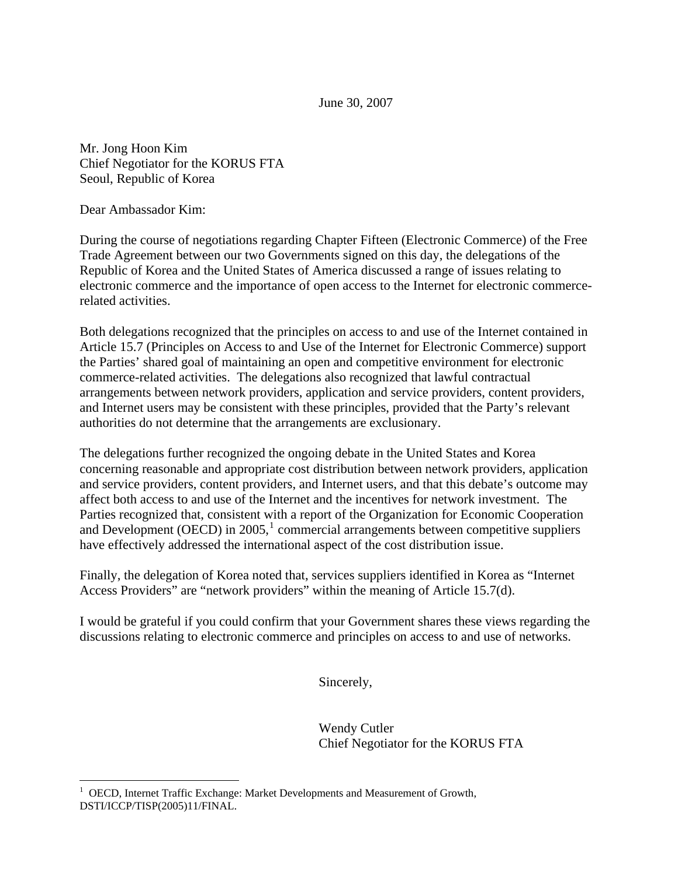June 30, 2007

Mr. Jong Hoon Kim Chief Negotiator for the KORUS FTA Seoul, Republic of Korea

Dear Ambassador Kim:

 $\overline{a}$ 

During the course of negotiations regarding Chapter Fifteen (Electronic Commerce) of the Free Trade Agreement between our two Governments signed on this day, the delegations of the Republic of Korea and the United States of America discussed a range of issues relating to electronic commerce and the importance of open access to the Internet for electronic commercerelated activities.

Both delegations recognized that the principles on access to and use of the Internet contained in Article 15.7 (Principles on Access to and Use of the Internet for Electronic Commerce) support the Parties' shared goal of maintaining an open and competitive environment for electronic commerce-related activities. The delegations also recognized that lawful contractual arrangements between network providers, application and service providers, content providers, and Internet users may be consistent with these principles, provided that the Party's relevant authorities do not determine that the arrangements are exclusionary.

The delegations further recognized the ongoing debate in the United States and Korea concerning reasonable and appropriate cost distribution between network providers, application and service providers, content providers, and Internet users, and that this debate's outcome may affect both access to and use of the Internet and the incentives for network investment. The Parties recognized that, consistent with a report of the Organization for Economic Cooperation and Development (OECD) in  $2005$ ,<sup>[1](#page-0-0)</sup> commercial arrangements between competitive suppliers have effectively addressed the international aspect of the cost distribution issue.

Finally, the delegation of Korea noted that, services suppliers identified in Korea as "Internet Access Providers" are "network providers" within the meaning of Article 15.7(d).

I would be grateful if you could confirm that your Government shares these views regarding the discussions relating to electronic commerce and principles on access to and use of networks.

Sincerely,

 Wendy Cutler Chief Negotiator for the KORUS FTA

<span id="page-0-0"></span><sup>&</sup>lt;sup>1</sup> OECD, Internet Traffic Exchange: Market Developments and Measurement of Growth, DSTI/ICCP/TISP(2005)11/FINAL.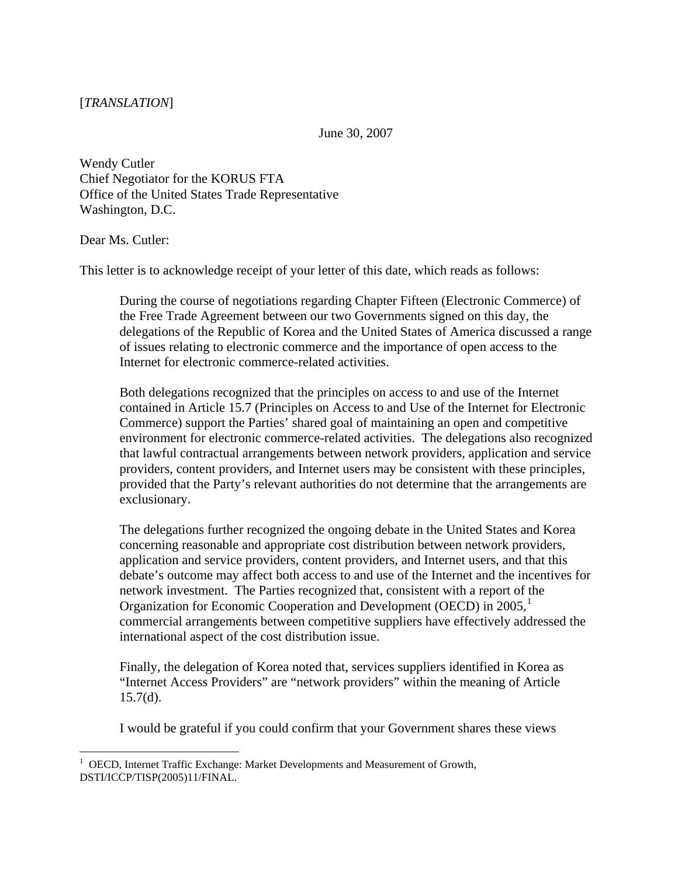June 30, 2007

Wendy Cutler Chief Negotiator for the KORUS FTA Office of the United States Trade Representative Washington, D.C.

Dear Ms. Cutler:

This letter is to acknowledge receipt of your letter of this date, which reads as follows:

During the course of negotiations regarding Chapter Fifteen (Electronic Commerce) of the Free Trade Agreement between our two Governments signed on this day, the delegations of the Republic of Korea and the United States of America discussed a range of issues relating to electronic commerce and the importance of open access to the Internet for electronic commerce-related activities.

Both delegations recognized that the principles on access to and use of the Internet contained in Article 15.7 (Principles on Access to and Use of the Internet for Electronic Commerce) support the Parties' shared goal of maintaining an open and competitive environment for electronic commerce-related activities. The delegations also recognized that lawful contractual arrangements between network providers, application and service providers, content providers, and Internet users may be consistent with these principles, provided that the Party's relevant authorities do not determine that the arrangements are exclusionary.

The delegations further recognized the ongoing debate in the United States and Korea concerning reasonable and appropriate cost distribution between network providers, application and service providers, content providers, and Internet users, and that this debate's outcome may affect both access to and use of the Internet and the incentives for network investment. The Parties recognized that, consistent with a report of the Organization for Economic Cooperation and Development (OECD) in 2005,<sup>[1](#page-1-0)</sup> commercial arrangements between competitive suppliers have effectively addressed the international aspect of the cost distribution issue.

Finally, the delegation of Korea noted that, services suppliers identified in Korea as "Internet Access Providers" are "network providers" within the meaning of Article  $15.7(d)$ .

I would be grateful if you could confirm that your Government shares these views

<span id="page-1-0"></span> $\overline{a}$ <sup>1</sup> OECD, Internet Traffic Exchange: Market Developments and Measurement of Growth, DSTI/ICCP/TISP(2005)11/FINAL.